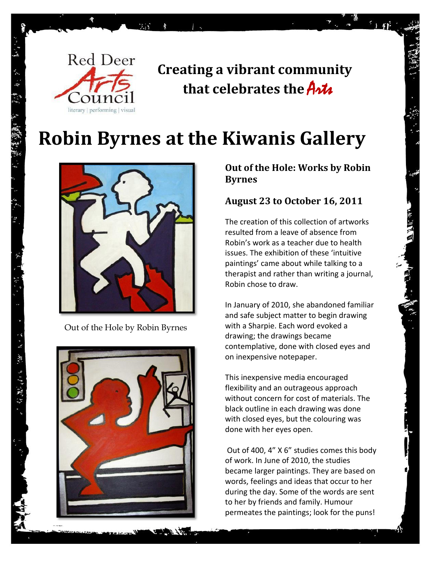

**BA** 

### **Creating a vibrant community**  that celebrates the **Arts**

**Robin Byrnes at the Kiwanis Gallery**



Out of the Hole by Robin Byrnes

こんが (現代) きょうけん けい



### **Out of the Hole: Works by Robin Byrnes**

### **August 23 to October 16, 2011**

The creation of this collection of artworks resulted from a leave of absence from Robin's work as a teacher due to health issues. The exhibition of these 'intuitive paintings' came about while talking to a therapist and rather than writing a journal, Robin chose to draw.

In January of 2010, she abandoned familiar and safe subject matter to begin drawing with a Sharpie. Each word evoked a drawing; the drawings became contemplative, done with closed eyes and on inexpensive notepaper.

This inexpensive media encouraged flexibility and an outrageous approach without concern for cost of materials. The black outline in each drawing was done with closed eyes, but the colouring was done with her eyes open.

Out of 400, 4" X 6" studies comes this body of work. In June of 2010, the studies became larger paintings. They are based on words, feelings and ideas that occur to her during the day. Some of the words are sent to her by friends and family. Humour permeates the paintings; look for the puns!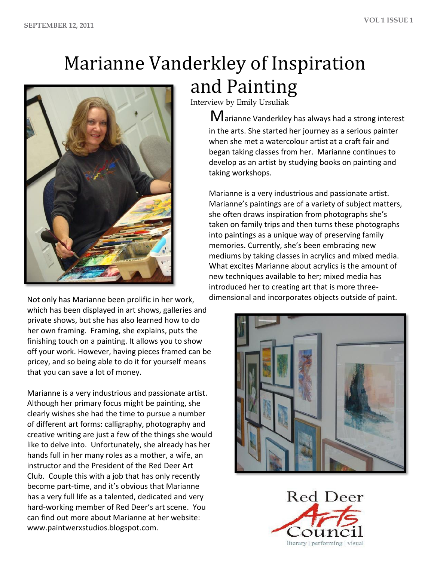# Marianne Vanderkley of Inspiration and Painting



Not only has Marianne been prolific in her work, dimensional and incorporates objects outside of paint. which has been displayed in art shows, galleries and private shows, but she has also learned how to do her own framing. Framing, she explains, puts the finishing touch on a painting. It allows you to show off your work. However, having pieces framed can be pricey, and so being able to do it for yourself means that you can save a lot of money.

Marianne is a very industrious and passionate artist. Although her primary focus might be painting, she clearly wishes she had the time to pursue a number of different art forms: calligraphy, photography and creative writing are just a few of the things she would like to delve into. Unfortunately, she already has her hands full in her many roles as a mother, a wife, an instructor and the President of the Red Deer Art Club. Couple this with a job that has only recently become part-time, and it's obvious that Marianne has a very full life as a talented, dedicated and very hard-working member of Red Deer's art scene. You can find out more about Marianne at her website: www.paintwerxstudios.blogspot.com.

Interview by Emily Ursuliak

Marianne Vanderkley has always had a strong interest in the arts. She started her journey as a serious painter when she met a watercolour artist at a craft fair and began taking classes from her. Marianne continues to develop as an artist by studying books on painting and taking workshops.

Marianne is a very industrious and passionate artist. Marianne's paintings are of a variety of subject matters, she often draws inspiration from photographs she's taken on family trips and then turns these photographs into paintings as a unique way of preserving family memories. Currently, she's been embracing new mediums by taking classes in acrylics and mixed media. What excites Marianne about acrylics is the amount of new techniques available to her; mixed media has introduced her to creating art that is more three-



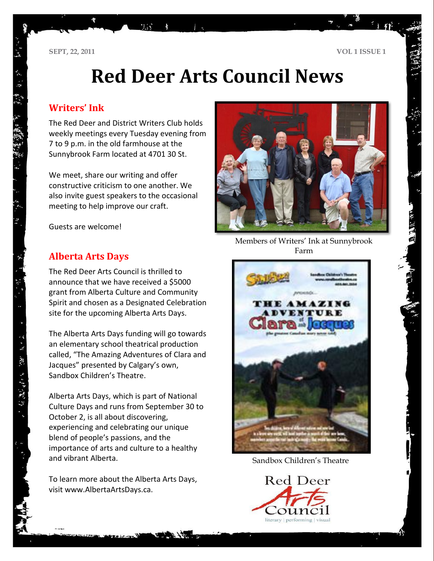**SEPT, 22, 2011 VOL 1 ISSUE 1**

## **Red Deer Arts Council News**

#### **Writers' Ink**

1、深深、独特、

 $\sim 35$  ,  $\sqrt{3}$  ,  $\sim 3$  ,  $\sim 27$  ,  $\sim 10$  ,  $\sim 10$ 

The Red Deer and District Writers Club holds weekly meetings every Tuesday evening from 7 to 9 p.m. in the old farmhouse at the Sunnybrook Farm located at 4701 30 St.

 $7.35$ 

 $\star$ 

We meet, share our writing and offer constructive criticism to one another. We also invite guest speakers to the occasional meeting to help improve our craft.

Guests are welcome!

#### **Alberta Arts Days**

The Red Deer Arts Council is thrilled to announce that we have received a \$5000 grant from Alberta Culture and Community Spirit and chosen as a Designated Celebration site for the upcoming Alberta Arts Days.

The Alberta Arts Days funding will go towards an elementary school theatrical production called, "The Amazing Adventures of Clara and Jacques" presented by Calgary's own, Sandbox Children's Theatre.

Alberta Arts Days, which is part of National Culture Days and runs from September 30 to October 2, is all about discovering, experiencing and celebrating our unique blend of people's passions, and the importance of arts and culture to a healthy and vibrant Alberta.

To learn more about the Alberta Arts Days, visit www.AlbertaArtsDays.ca.



Members of Writers' Ink at Sunnybrook Farm



Sandbox Children's Theatre